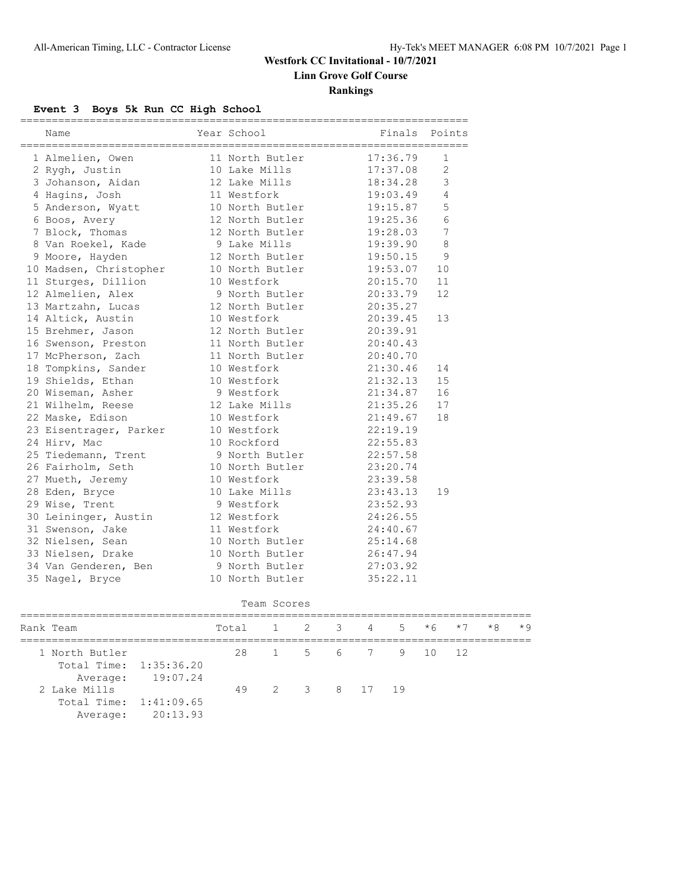## **Westfork CC Invitational - 10/7/2021 Linn Grove Golf Course**

### **Rankings**

### **Event 3 Boys 5k Run CC High School**

| ==========<br>Name     | Year School     | Finals Points |                 |
|------------------------|-----------------|---------------|-----------------|
| 1 Almelien, Owen       | 11 North Butler | 17:36.79      | 1               |
| 2 Rygh, Justin         | 10 Lake Mills   | 17:37.08      | $\overline{2}$  |
| 3 Johanson, Aidan      | 12 Lake Mills   | 18:34.28      | 3               |
| 4 Hagins, Josh         | 11 Westfork     | 19:03.49      | $\overline{4}$  |
| 5 Anderson, Wyatt      | 10 North Butler | 19:15.87      | 5               |
| 6 Boos, Avery          | 12 North Butler | 19:25.36      | $\sqrt{6}$      |
| 7 Block, Thomas        | 12 North Butler | 19:28.03      | $7\phantom{.0}$ |
| 8 Van Roekel, Kade     | 9 Lake Mills    | 19:39.90      | 8               |
| 9 Moore, Hayden        | 12 North Butler | 19:50.15      | 9               |
| 10 Madsen, Christopher | 10 North Butler | 19:53.07      | 10              |
| 11 Sturges, Dillion    | 10 Westfork     | 20:15.70      | 11              |
| 12 Almelien, Alex      | 9 North Butler  | 20:33.79      | 12              |
| 13 Martzahn, Lucas     | 12 North Butler | 20:35.27      |                 |
| 14 Altick, Austin      | 10 Westfork     | 20:39.45      | 13              |
| 15 Brehmer, Jason      | 12 North Butler | 20:39.91      |                 |
| 16 Swenson, Preston    | 11 North Butler | 20:40.43      |                 |
| 17 McPherson, Zach     | 11 North Butler | 20:40.70      |                 |
| 18 Tompkins, Sander    | 10 Westfork     | 21:30.46      | 14              |
| 19 Shields, Ethan      | 10 Westfork     | 21:32.13      | 15              |
| 20 Wiseman, Asher      | 9 Westfork      | 21:34.87      | 16              |
| 21 Wilhelm, Reese      | 12 Lake Mills   | 21:35.26      | 17              |
| 22 Maske, Edison       | 10 Westfork     | 21:49.67      | 18              |
| 23 Eisentrager, Parker | 10 Westfork     | 22:19.19      |                 |
| 24 Hirv, Mac           | 10 Rockford     | 22:55.83      |                 |
| 25 Tiedemann, Trent    | 9 North Butler  | 22:57.58      |                 |
| 26 Fairholm, Seth      | 10 North Butler | 23:20.74      |                 |
| 27 Mueth, Jeremy       | 10 Westfork     | 23:39.58      |                 |
| 28 Eden, Bryce         | 10 Lake Mills   | 23:43.13      | 19              |
| 29 Wise, Trent         | 9 Westfork      | 23:52.93      |                 |
| 30 Leininger, Austin   | 12 Westfork     | 24:26.55      |                 |
| 31 Swenson, Jake       | 11 Westfork     | 24:40.67      |                 |
| 32 Nielsen, Sean       | 10 North Butler | 25:14.68      |                 |
| 33 Nielsen, Drake      | 10 North Butler | 26:47.94      |                 |
| 34 Van Genderen, Ben   | 9 North Butler  | 27:03.92      |                 |
| 35 Nagel, Bryce        | 10 North Butler | 35:22.11      |                 |

| Team Scores |
|-------------|

|  | Rank Team              |                   | Total 1 2 3 4 5 $*6$ $*7$ |                    |  |  | $\star$ 8 $\star$ 9 |  |
|--|------------------------|-------------------|---------------------------|--------------------|--|--|---------------------|--|
|  | 1 North Butler         |                   |                           | 28 1 5 6 7 9 10 12 |  |  |                     |  |
|  | Total Time: 1:35:36.20 |                   |                           |                    |  |  |                     |  |
|  |                        | Average: 19:07.24 |                           |                    |  |  |                     |  |
|  | 2 Lake Mills           |                   |                           | 49 2 3 8 17 19     |  |  |                     |  |
|  | Total Time: 1:41:09.65 |                   |                           |                    |  |  |                     |  |
|  |                        | Average: 20:13.93 |                           |                    |  |  |                     |  |